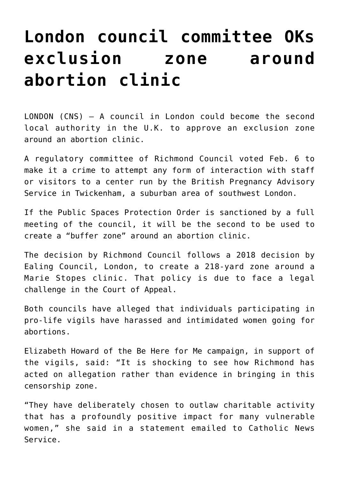## **[London council committee OKs](https://www.osvnews.com/2019/02/08/london-council-committee-oks-exclusion-zone-around-abortion-clinic/) [exclusion zone around](https://www.osvnews.com/2019/02/08/london-council-committee-oks-exclusion-zone-around-abortion-clinic/) [abortion clinic](https://www.osvnews.com/2019/02/08/london-council-committee-oks-exclusion-zone-around-abortion-clinic/)**

LONDON (CNS) — A council in London could become the second local authority in the U.K. to approve an exclusion zone around an abortion clinic.

A regulatory committee of Richmond Council voted Feb. 6 to make it a crime to attempt any form of interaction with staff or visitors to a center run by the British Pregnancy Advisory Service in Twickenham, a suburban area of southwest London.

If the Public Spaces Protection Order is sanctioned by a full meeting of the council, it will be the second to be used to create a "buffer zone" around an abortion clinic.

The decision by Richmond Council follows a 2018 decision by Ealing Council, London, to create a 218-yard zone around a Marie Stopes clinic. That policy is due to face a legal challenge in the Court of Appeal.

Both councils have alleged that individuals participating in pro-life vigils have harassed and intimidated women going for abortions.

Elizabeth Howard of the Be Here for Me campaign, in support of the vigils, said: "It is shocking to see how Richmond has acted on allegation rather than evidence in bringing in this censorship zone.

"They have deliberately chosen to outlaw charitable activity that has a profoundly positive impact for many vulnerable women," she said in a statement emailed to Catholic News Service.